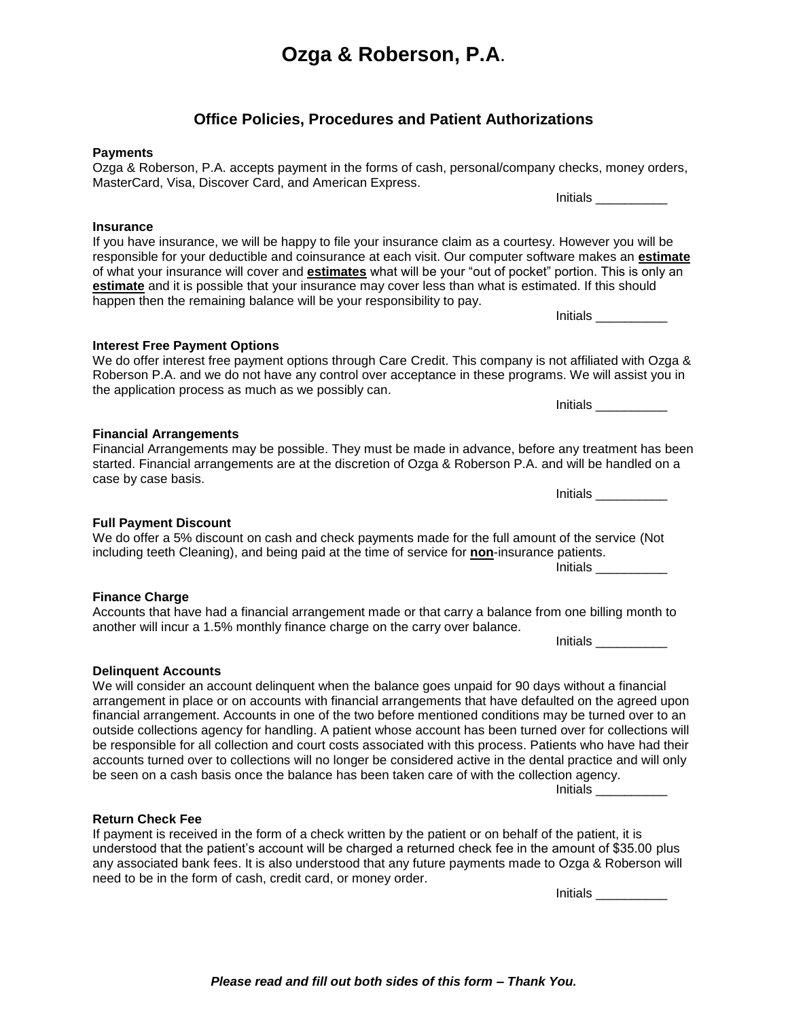# **Ozga & Roberson, P.A**.

# **Office Policies, Procedures and Patient Authorizations**

#### **Payments**

**Insurance**

Ozga & Roberson, P.A. accepts payment in the forms of cash, personal/company checks, money orders, MasterCard, Visa, Discover Card, and American Express. Initials \_\_\_\_\_\_\_\_\_\_\_\_

If you have insurance, we will be happy to file your insurance claim as a courtesy. However you will be responsible for your deductible and coinsurance at each visit. Our computer software makes an **estimate** of what your insurance will cover and **estimates** what will be your "out of pocket" portion. This is only an **estimate** and it is possible that your insurance may cover less than what is estimated. If this should happen then the remaining balance will be your responsibility to pay.

**Interest Free Payment Options** We do offer interest free payment options through Care Credit. This company is not affiliated with Ozga & Roberson P.A. and we do not have any control over acceptance in these programs. We will assist you in the application process as much as we possibly can.

**Financial Arrangements** Financial Arrangements may be possible. They must be made in advance, before any treatment has been started. Financial arrangements are at the discretion of Ozga & Roberson P.A. and will be handled on a case by case basis.

We do offer a 5% discount on cash and check payments made for the full amount of the service (Not including teeth Cleaning), and being paid at the time of service for **non**-insurance patients. Initials \_\_\_\_\_\_\_\_\_\_

Accounts that have had a financial arrangement made or that carry a balance from one billing month to another will incur a 1.5% monthly finance charge on the carry over balance.

Initials \_\_\_\_\_\_\_\_\_\_

Initials \_\_\_\_\_\_\_\_\_\_

Initials \_\_\_\_\_\_\_\_\_\_

Initials \_\_\_\_\_\_\_\_\_\_

**Delinquent Accounts**

We will consider an account delinquent when the balance goes unpaid for 90 days without a financial arrangement in place or on accounts with financial arrangements that have defaulted on the agreed upon financial arrangement. Accounts in one of the two before mentioned conditions may be turned over to an outside collections agency for handling. A patient whose account has been turned over for collections will be responsible for all collection and court costs associated with this process. Patients who have had their accounts turned over to collections will no longer be considered active in the dental practice and will only be seen on a cash basis once the balance has been taken care of with the collection agency.

Initials \_\_\_\_\_\_\_\_\_\_

### **Return Check Fee**

If payment is received in the form of a check written by the patient or on behalf of the patient, it is understood that the patient's account will be charged a returned check fee in the amount of \$35.00 plus any associated bank fees. It is also understood that any future payments made to Ozga & Roberson will need to be in the form of cash, credit card, or money order.

Initials \_\_\_\_\_\_\_\_\_\_

**Full Payment Discount**

### **Finance Charge**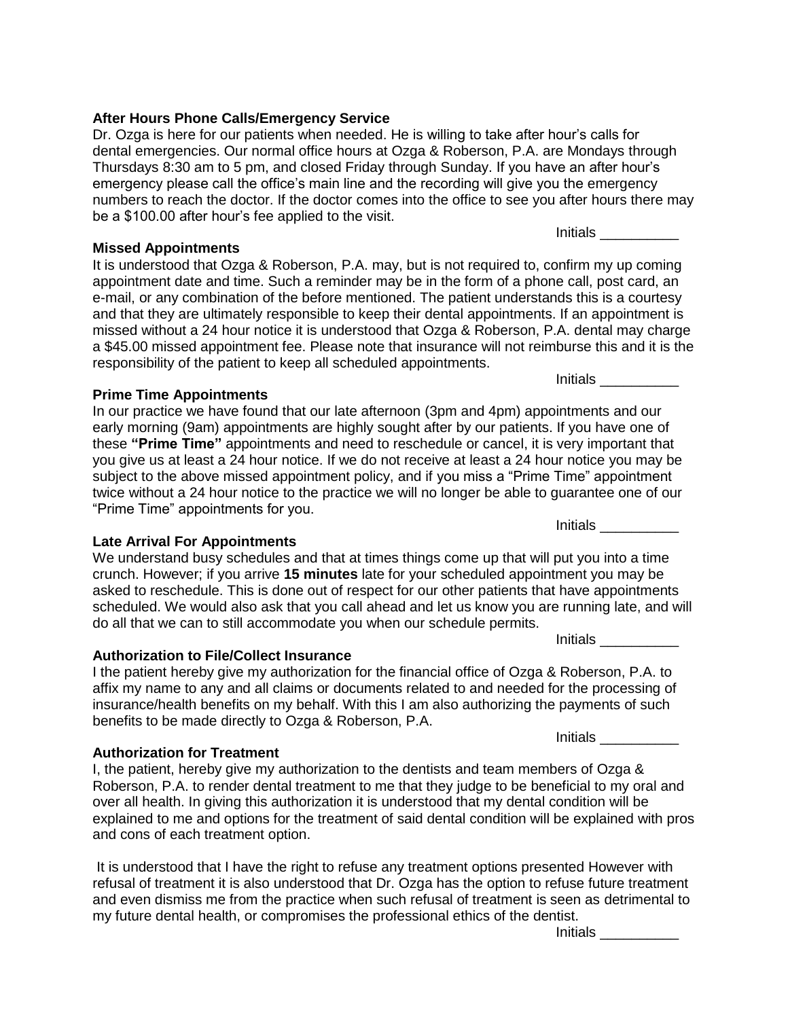## **After Hours Phone Calls/Emergency Service**

Dr. Ozga is here for our patients when needed. He is willing to take after hour's calls for dental emergencies. Our normal office hours at Ozga & Roberson, P.A. are Mondays through Thursdays 8:30 am to 5 pm, and closed Friday through Sunday. If you have an after hour's emergency please call the office's main line and the recording will give you the emergency numbers to reach the doctor. If the doctor comes into the office to see you after hours there may be a \$100.00 after hour's fee applied to the visit.

**Missed Appointments**

It is understood that Ozga & Roberson, P.A. may, but is not required to, confirm my up coming appointment date and time. Such a reminder may be in the form of a phone call, post card, an e-mail, or any combination of the before mentioned. The patient understands this is a courtesy and that they are ultimately responsible to keep their dental appointments. If an appointment is missed without a 24 hour notice it is understood that Ozga & Roberson, P.A. dental may charge a \$45.00 missed appointment fee. Please note that insurance will not reimburse this and it is the responsibility of the patient to keep all scheduled appointments.

## **Prime Time Appointments**

In our practice we have found that our late afternoon (3pm and 4pm) appointments and our early morning (9am) appointments are highly sought after by our patients. If you have one of these **"Prime Time"** appointments and need to reschedule or cancel, it is very important that you give us at least a 24 hour notice. If we do not receive at least a 24 hour notice you may be subject to the above missed appointment policy, and if you miss a "Prime Time" appointment twice without a 24 hour notice to the practice we will no longer be able to guarantee one of our "Prime Time" appointments for you.

## **Late Arrival For Appointments**

We understand busy schedules and that at times things come up that will put you into a time crunch. However; if you arrive **15 minutes** late for your scheduled appointment you may be asked to reschedule. This is done out of respect for our other patients that have appointments scheduled. We would also ask that you call ahead and let us know you are running late, and will do all that we can to still accommodate you when our schedule permits.

## **Authorization to File/Collect Insurance**

I the patient hereby give my authorization for the financial office of Ozga & Roberson, P.A. to affix my name to any and all claims or documents related to and needed for the processing of insurance/health benefits on my behalf. With this I am also authorizing the payments of such benefits to be made directly to Ozga & Roberson, P.A.

### **Authorization for Treatment**

I, the patient, hereby give my authorization to the dentists and team members of Ozga & Roberson, P.A. to render dental treatment to me that they judge to be beneficial to my oral and over all health. In giving this authorization it is understood that my dental condition will be explained to me and options for the treatment of said dental condition will be explained with pros and cons of each treatment option.

It is understood that I have the right to refuse any treatment options presented However with refusal of treatment it is also understood that Dr. Ozga has the option to refuse future treatment and even dismiss me from the practice when such refusal of treatment is seen as detrimental to my future dental health, or compromises the professional ethics of the dentist.

Initials \_\_\_\_\_\_\_\_\_\_

Initials \_\_\_\_\_\_\_\_\_\_

Initials \_\_\_\_\_\_\_\_\_\_

Initials \_\_\_\_\_\_\_\_\_\_

Initials \_\_\_\_\_\_\_\_\_\_